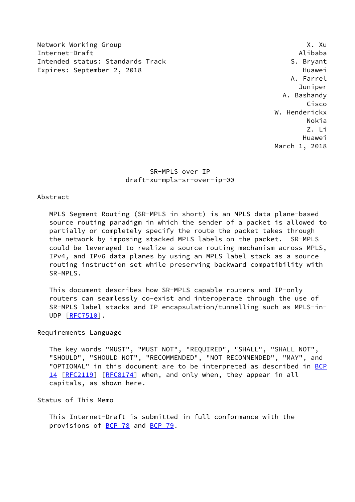Network Working Group **X. Automatic Contract Contract Contract Contract Contract Contract Contract Contract Contract Contract Contract Contract Contract Contract Contract Contract Contract Contract Contract Contract Contra** Internet-Draft Alibaba Intended status: Standards Track S. Bryant Expires: September 2, 2018 and the contract of the Huawei

 A. Farrel Juniper A. Bashandy Cisco W. Henderickx Nokia Z. Li Huawei March 1, 2018

> SR-MPLS over IP draft-xu-mpls-sr-over-ip-00

# Abstract

 MPLS Segment Routing (SR-MPLS in short) is an MPLS data plane-based source routing paradigm in which the sender of a packet is allowed to partially or completely specify the route the packet takes through the network by imposing stacked MPLS labels on the packet. SR-MPLS could be leveraged to realize a source routing mechanism across MPLS, IPv4, and IPv6 data planes by using an MPLS label stack as a source routing instruction set while preserving backward compatibility with SR-MPLS.

 This document describes how SR-MPLS capable routers and IP-only routers can seamlessly co-exist and interoperate through the use of SR-MPLS label stacks and IP encapsulation/tunnelling such as MPLS-in- UDP [\[RFC7510](https://datatracker.ietf.org/doc/pdf/rfc7510)].

#### Requirements Language

 The key words "MUST", "MUST NOT", "REQUIRED", "SHALL", "SHALL NOT", "SHOULD", "SHOULD NOT", "RECOMMENDED", "NOT RECOMMENDED", "MAY", and "OPTIONAL" in this document are to be interpreted as described in [BCP](https://datatracker.ietf.org/doc/pdf/bcp14) [14](https://datatracker.ietf.org/doc/pdf/bcp14) [[RFC2119\]](https://datatracker.ietf.org/doc/pdf/rfc2119) [\[RFC8174](https://datatracker.ietf.org/doc/pdf/rfc8174)] when, and only when, they appear in all capitals, as shown here.

### Status of This Memo

 This Internet-Draft is submitted in full conformance with the provisions of <u>BCP 78</u> and [BCP 79](https://datatracker.ietf.org/doc/pdf/bcp79).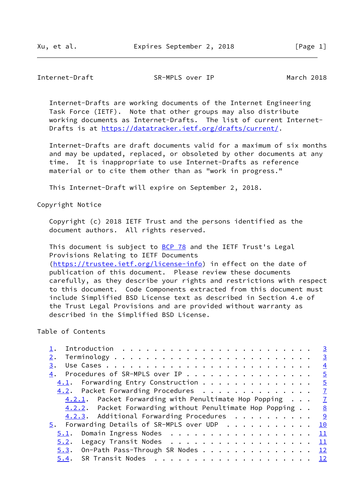## Internet-Draft SR-MPLS over IP March 2018

 Internet-Drafts are working documents of the Internet Engineering Task Force (IETF). Note that other groups may also distribute working documents as Internet-Drafts. The list of current Internet- Drafts is at<https://datatracker.ietf.org/drafts/current/>.

 Internet-Drafts are draft documents valid for a maximum of six months and may be updated, replaced, or obsoleted by other documents at any time. It is inappropriate to use Internet-Drafts as reference material or to cite them other than as "work in progress."

This Internet-Draft will expire on September 2, 2018.

Copyright Notice

 Copyright (c) 2018 IETF Trust and the persons identified as the document authors. All rights reserved.

This document is subject to **[BCP 78](https://datatracker.ietf.org/doc/pdf/bcp78)** and the IETF Trust's Legal Provisions Relating to IETF Documents [\(https://trustee.ietf.org/license-info](https://trustee.ietf.org/license-info)) in effect on the date of publication of this document. Please review these documents carefully, as they describe your rights and restrictions with respect to this document. Code Components extracted from this document must include Simplified BSD License text as described in Section 4.e of the Trust Legal Provisions and are provided without warranty as described in the Simplified BSD License.

## Table of Contents

|                                                               | $\overline{3}$ |
|---------------------------------------------------------------|----------------|
| 2.                                                            | $\overline{3}$ |
| 3.                                                            | $\frac{4}{1}$  |
| 4. Procedures of SR-MPLS over IP                              | $\frac{5}{2}$  |
| 4.1. Forwarding Entry Construction 5                          |                |
| 4.2. Packet Forwarding Procedures 7                           |                |
| $4.2.1$ . Packet Forwarding with Penultimate Hop Popping $7$  |                |
| $4.2.2$ . Packet Forwarding without Penultimate Hop Popping 8 |                |
| 4.2.3. Additional Forwarding Procedures 9                     |                |
|                                                               |                |
| $\frac{5}{2}$ . Forwarding Details of SR-MPLS over UDP 10     |                |
| 5.1. Domain Ingress Nodes                                     | $\perp$        |
| Legacy Transit Nodes 11<br>5.2.                               |                |
| $5.3$ . On-Path Pass-Through SR Nodes 12                      |                |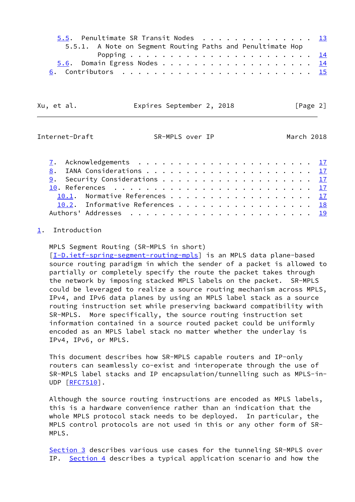|  |  | 5.5. Penultimate SR Transit Nodes 13<br>5.5.1. A Note on Segment Routing Paths and Penultimate Hop |
|--|--|----------------------------------------------------------------------------------------------------|

Xu, et al. Expires September 2, 2018 [Page 2]

<span id="page-2-1"></span>Internet-Draft SR-MPLS over IP March 2018

|  | <u>9</u> . Security Considerations <u>17</u> |  |  |  |  |  |  |  |  |  |  |  |
|--|----------------------------------------------|--|--|--|--|--|--|--|--|--|--|--|
|  |                                              |  |  |  |  |  |  |  |  |  |  |  |
|  | 10.1. Normative References 17                |  |  |  |  |  |  |  |  |  |  |  |
|  | 10.2. Informative References 18              |  |  |  |  |  |  |  |  |  |  |  |
|  |                                              |  |  |  |  |  |  |  |  |  |  |  |
|  |                                              |  |  |  |  |  |  |  |  |  |  |  |

## <span id="page-2-0"></span>[1](#page-2-0). Introduction

MPLS Segment Routing (SR-MPLS in short)

[\[I-D.ietf-spring-segment-routing-mpls](#page-19-1)] is an MPLS data plane-based source routing paradigm in which the sender of a packet is allowed to partially or completely specify the route the packet takes through the network by imposing stacked MPLS labels on the packet. SR-MPLS could be leveraged to realize a source routing mechanism across MPLS, IPv4, and IPv6 data planes by using an MPLS label stack as a source routing instruction set while preserving backward compatibility with SR-MPLS. More specifically, the source routing instruction set information contained in a source routed packet could be uniformly encoded as an MPLS label stack no matter whether the underlay is IPv4, IPv6, or MPLS.

 This document describes how SR-MPLS capable routers and IP-only routers can seamlessly co-exist and interoperate through the use of SR-MPLS label stacks and IP encapsulation/tunnelling such as MPLS-in- UDP [\[RFC7510](https://datatracker.ietf.org/doc/pdf/rfc7510)].

 Although the source routing instructions are encoded as MPLS labels, this is a hardware convenience rather than an indication that the whole MPLS protocol stack needs to be deployed. In particular, the MPLS control protocols are not used in this or any other form of SR- MPLS.

[Section 3](#page-3-1) describes various use cases for the tunneling SR-MPLS over IP. [Section 4](#page-4-0) describes a typical application scenario and how the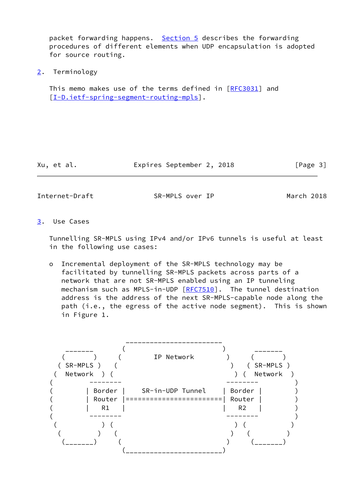packet forwarding happens. [Section 5](#page-10-0) describes the forwarding procedures of different elements when UDP encapsulation is adopted for source routing.

<span id="page-3-0"></span>[2](#page-3-0). Terminology

This memo makes use of the terms defined in [\[RFC3031](https://datatracker.ietf.org/doc/pdf/rfc3031)] and [\[I-D.ietf-spring-segment-routing-mpls](#page-19-1)].

Xu, et al. Expires September 2, 2018 [Page 3]

<span id="page-3-2"></span>

Internet-Draft SR-MPLS over IP March 2018

<span id="page-3-1"></span>[3](#page-3-1). Use Cases

 Tunnelling SR-MPLS using IPv4 and/or IPv6 tunnels is useful at least in the following use cases:

 o Incremental deployment of the SR-MPLS technology may be facilitated by tunnelling SR-MPLS packets across parts of a network that are not SR-MPLS enabled using an IP tunneling mechanism such as MPLS-in-UDP [\[RFC7510](https://datatracker.ietf.org/doc/pdf/rfc7510)]. The tunnel destination address is the address of the next SR-MPLS-capable node along the path (i.e., the egress of the active node segment). This is shown in Figure 1.

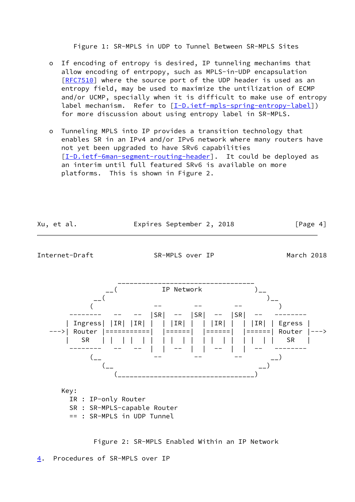Figure 1: SR-MPLS in UDP to Tunnel Between SR-MPLS Sites

- o If encoding of entropy is desired, IP tunneling mechanims that allow encoding of entrpopy, such as MPLS-in-UDP encapsulation [[RFC7510\]](https://datatracker.ietf.org/doc/pdf/rfc7510) where the source port of the UDP header is used as an entropy field, may be used to maximize the untilization of ECMP and/or UCMP, specially when it is difficult to make use of entropy label mechanism. Refer to [[I-D.ietf-mpls-spring-entropy-label\]](#page-20-2)) for more discussion about using entropy label in SR-MPLS.
- o Tunneling MPLS into IP provides a transition technology that enables SR in an IPv4 and/or IPv6 network where many routers have not yet been upgraded to have SRv6 capabilities [[I-D.ietf-6man-segment-routing-header\]](#page-20-3). It could be deployed as an interim until full featured SRv6 is available on more platforms. This is shown in Figure 2.

<span id="page-4-1"></span>

Figure 2: SR-MPLS Enabled Within an IP Network

<span id="page-4-0"></span>[4](#page-4-0). Procedures of SR-MPLS over IP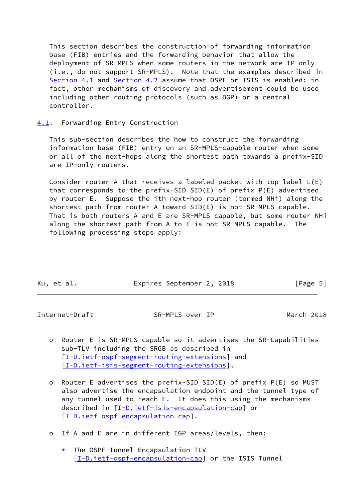This section describes the construction of forwarding information base (FIB) entries and the forwarding behavior that allow the deployment of SR-MPLS when some routers in the network are IP only (i.e., do not support SR-MPLS). Note that the examples described in [Section 4.1](#page-5-0) and [Section 4.2](#page-7-0) assume that OSPF or ISIS is enabled: in fact, other mechanisms of discovery and advertisement could be used including other routing protocols (such as BGP) or a central controller.

## <span id="page-5-0"></span>[4.1](#page-5-0). Forwarding Entry Construction

 This sub-section describes the how to construct the forwarding information base (FIB) entry on an SR-MPLS-capable router when some or all of the next-hops along the shortest path towards a prefix-SID are IP-only routers.

 Consider router A that receives a labeled packet with top label L(E) that corresponds to the prefix-SID SID(E) of prefix P(E) advertised by router E. Suppose the ith next-hop router (termed NHi) along the shortest path from router A toward SID(E) is not SR-MPLS capable. That is both routers A and E are SR-MPLS capable, but some router NHi along the shortest path from A to E is not SR-MPLS capable. The following processing steps apply:

| Xu, et al. | Expires September 2, 2018 | [Page 5] |
|------------|---------------------------|----------|

Internet-Draft SR-MPLS over IP March 2018

- o Router E is SR-MPLS capable so it advertises the SR-Capabilities sub-TLV including the SRGB as described in [[I-D.ietf-ospf-segment-routing-extensions\]](#page-18-6) and [[I-D.ietf-isis-segment-routing-extensions\]](#page-18-7).
- o Router E advertises the prefix-SID SID(E) of prefix P(E) so MUST also advertise the encapsulation endpoint and the tunnel type of any tunnel used to reach E. It does this using the mechanisms described in [\[I-D.ietf-isis-encapsulation-cap](#page-18-8)] or [[I-D.ietf-ospf-encapsulation-cap\]](#page-18-9).
- o If A and E are in different IGP areas/levels, then:
	- \* The OSPF Tunnel Encapsulation TLV [[I-D.ietf-ospf-encapsulation-cap](#page-18-9)] or the ISIS Tunnel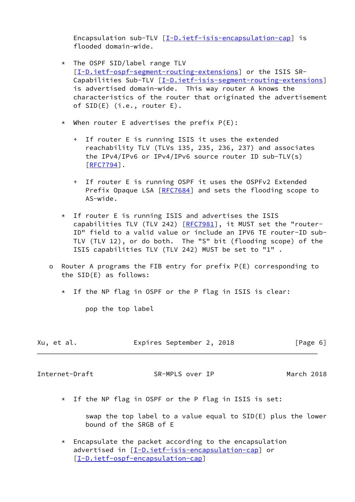Encapsulation sub-TLV [\[I-D.ietf-isis-encapsulation-cap](#page-18-8)] is flooded domain-wide.

- \* The OSPF SID/label range TLV [[I-D.ietf-ospf-segment-routing-extensions\]](#page-18-6) or the ISIS SR- Capabilities Sub-TLV [[I-D.ietf-isis-segment-routing-extensions\]](#page-18-7) is advertised domain-wide. This way router A knows the characteristics of the router that originated the advertisement of SID(E) (i.e., router E).
- \* When router E advertises the prefix  $P(E)$ :
	- + If router E is running ISIS it uses the extended reachability TLV (TLVs 135, 235, 236, 237) and associates the IPv4/IPv6 or IPv4/IPv6 source router ID sub-TLV(s) [\[RFC7794](https://datatracker.ietf.org/doc/pdf/rfc7794)].
	- + If router E is running OSPF it uses the OSPFv2 Extended Prefix Opaque LSA [[RFC7684\]](https://datatracker.ietf.org/doc/pdf/rfc7684) and sets the flooding scope to AS-wide.
- \* If router E is running ISIS and advertises the ISIS capabilities TLV (TLV 242) [\[RFC7981](https://datatracker.ietf.org/doc/pdf/rfc7981)], it MUST set the "router- ID" field to a valid value or include an IPV6 TE router-ID sub- TLV (TLV 12), or do both. The "S" bit (flooding scope) of the ISIS capabilities TLV (TLV 242) MUST be set to "1" .
- o Router A programs the FIB entry for prefix P(E) corresponding to the SID(E) as follows:
	- \* If the NP flag in OSPF or the P flag in ISIS is clear:

pop the top label

| Xu, et al. | Expires September 2, 2018 |  |  |  | [Page 6] |  |
|------------|---------------------------|--|--|--|----------|--|
|------------|---------------------------|--|--|--|----------|--|

<span id="page-6-0"></span>Internet-Draft SR-MPLS over IP March 2018

\* If the NP flag in OSPF or the P flag in ISIS is set:

 swap the top label to a value equal to SID(E) plus the lower bound of the SRGB of E

 $*$  Encapsulate the packet according to the encapsulation advertised in [\[I-D.ietf-isis-encapsulation-cap](#page-18-8)] or [[I-D.ietf-ospf-encapsulation-cap](#page-18-9)]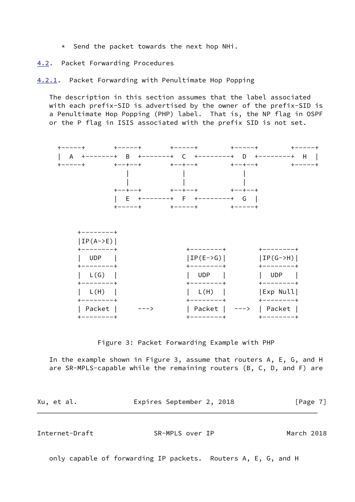\* Send the packet towards the next hop NHi.

<span id="page-7-0"></span>[4.2](#page-7-0). Packet Forwarding Procedures

<span id="page-7-1"></span>[4.2.1](#page-7-1). Packet Forwarding with Penultimate Hop Popping

 The description in this section assumes that the label associated with each prefix-SID is advertised by the owner of the prefix-SID is a Penultimate Hop Popping (PHP) label. That is, the NP flag in OSPF or the P flag in ISIS associated with the prefix SID is not set.



Figure 3: Packet Forwarding Example with PHP

 In the example shown in Figure 3, assume that routers A, E, G, and H are SR-MPLS-capable while the remaining routers (B, C, D, and F) are

<span id="page-7-2"></span>

| Xu, et al.     | Expires September 2, 2018 | [Page 7]   |
|----------------|---------------------------|------------|
| Internet-Draft | SR-MPLS over IP           | March 2018 |

only capable of forwarding IP packets. Routers A, E, G, and H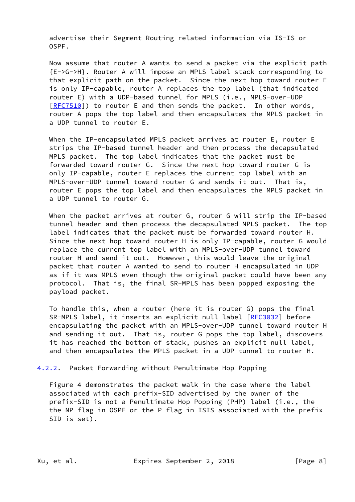advertise their Segment Routing related information via IS-IS or OSPF.

 Now assume that router A wants to send a packet via the explicit path {E->G->H}. Router A will impose an MPLS label stack corresponding to that explicit path on the packet. Since the next hop toward router E is only IP-capable, router A replaces the top label (that indicated router E) with a UDP-based tunnel for MPLS (i.e., MPLS-over-UDP [\[RFC7510](https://datatracker.ietf.org/doc/pdf/rfc7510)]) to router E and then sends the packet. In other words, router A pops the top label and then encapsulates the MPLS packet in a UDP tunnel to router E.

 When the IP-encapsulated MPLS packet arrives at router E, router E strips the IP-based tunnel header and then process the decapsulated MPLS packet. The top label indicates that the packet must be forwarded toward router G. Since the next hop toward router G is only IP-capable, router E replaces the current top label with an MPLS-over-UDP tunnel toward router G and sends it out. That is, router E pops the top label and then encapsulates the MPLS packet in a UDP tunnel to router G.

 When the packet arrives at router G, router G will strip the IP-based tunnel header and then process the decapsulated MPLS packet. The top label indicates that the packet must be forwarded toward router H. Since the next hop toward router H is only IP-capable, router G would replace the current top label with an MPLS-over-UDP tunnel toward router H and send it out. However, this would leave the original packet that router A wanted to send to router H encapsulated in UDP as if it was MPLS even though the original packet could have been any protocol. That is, the final SR-MPLS has been popped exposing the payload packet.

 To handle this, when a router (here it is router G) pops the final SR-MPLS label, it inserts an explicit null label [\[RFC3032](https://datatracker.ietf.org/doc/pdf/rfc3032)] before encapsulating the packet with an MPLS-over-UDP tunnel toward router H and sending it out. That is, router G pops the top label, discovers it has reached the bottom of stack, pushes an explicit null label, and then encapsulates the MPLS packet in a UDP tunnel to router H.

<span id="page-8-0"></span>[4.2.2](#page-8-0). Packet Forwarding without Penultimate Hop Popping

 Figure 4 demonstrates the packet walk in the case where the label associated with each prefix-SID advertised by the owner of the prefix-SID is not a Penultimate Hop Popping (PHP) label (i.e., the the NP flag in OSPF or the P flag in ISIS associated with the prefix SID is set).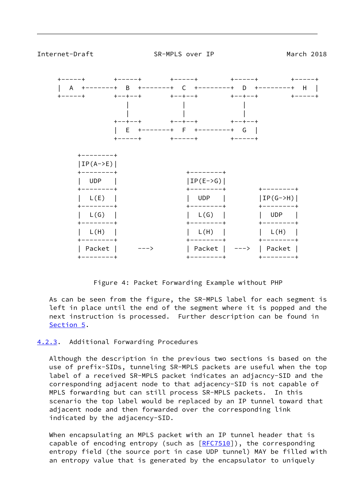<span id="page-9-1"></span>

Figure 4: Packet Forwarding Example without PHP

 As can be seen from the figure, the SR-MPLS label for each segment is left in place until the end of the segment where it is popped and the next instruction is processed. Further description can be found in [Section 5](#page-10-0).

### <span id="page-9-0"></span>[4.2.3](#page-9-0). Additional Forwarding Procedures

 Although the description in the previous two sections is based on the use of prefix-SIDs, tunneling SR-MPLS packets are useful when the top label of a received SR-MPLS packet indicates an adjacncy-SID and the corresponding adjacent node to that adjacency-SID is not capable of MPLS forwarding but can still process SR-MPLS packets. In this scenario the top label would be replaced by an IP tunnel toward that adjacent node and then forwarded over the corresponding link indicated by the adjacency-SID.

 When encapsulating an MPLS packet with an IP tunnel header that is capable of encoding entropy (such as  $[REC7510]$ ), the corresponding entropy field (the source port in case UDP tunnel) MAY be filled with an entropy value that is generated by the encapsulator to uniquely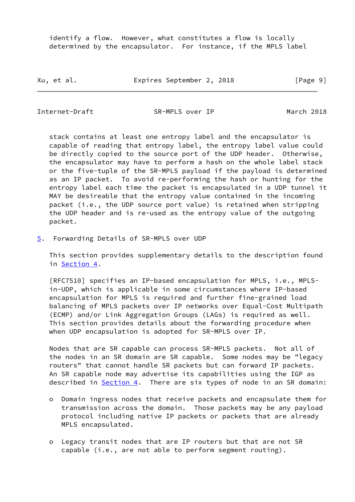identify a flow. However, what constitutes a flow is locally determined by the encapsulator. For instance, if the MPLS label

Xu, et al. **Expires September 2, 2018** [Page 9]

<span id="page-10-1"></span>Internet-Draft SR-MPLS over IP March 2018

 stack contains at least one entropy label and the encapsulator is capable of reading that entropy label, the entropy label value could be directly copied to the source port of the UDP header. Otherwise, the encapsulator may have to perform a hash on the whole label stack or the five-tuple of the SR-MPLS payload if the payload is determined as an IP packet. To avoid re-performing the hash or hunting for the entropy label each time the packet is encapsulated in a UDP tunnel it MAY be desireable that the entropy value contained in the incoming packet (i.e., the UDP source port value) is retained when stripping the UDP header and is re-used as the entropy value of the outgoing packet.

<span id="page-10-0"></span>[5](#page-10-0). Forwarding Details of SR-MPLS over UDP

 This section provides supplementary details to the description found in [Section 4.](#page-4-0)

 [RFC7510] specifies an IP-based encapsulation for MPLS, i.e., MPLS in-UDP, which is applicable in some circumstances where IP-based encapsulation for MPLS is required and further fine-grained load balancing of MPLS packets over IP networks over Equal-Cost Multipath (ECMP) and/or Link Aggregation Groups (LAGs) is required as well. This section provides details about the forwarding procedure when when UDP encapsulation is adopted for SR-MPLS over IP.

 Nodes that are SR capable can process SR-MPLS packets. Not all of the nodes in an SR domain are SR capable. Some nodes may be "legacy routers" that cannot handle SR packets but can forward IP packets. An SR capable node may advertise its capabilities using the IGP as described in [Section 4](#page-4-0). There are six types of node in an SR domain:

- o Domain ingress nodes that receive packets and encapsulate them for transmission across the domain. Those packets may be any payload protocol including native IP packets or packets that are already MPLS encapsulated.
- o Legacy transit nodes that are IP routers but that are not SR capable (i.e., are not able to perform segment routing).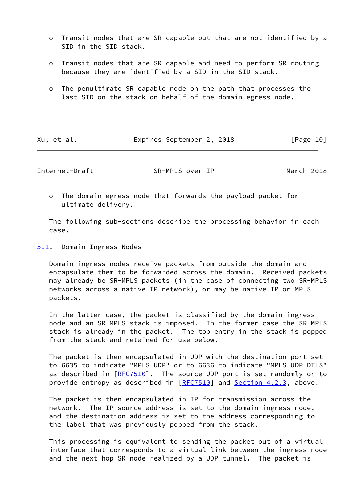- o Transit nodes that are SR capable but that are not identified by a SID in the SID stack.
- o Transit nodes that are SR capable and need to perform SR routing because they are identified by a SID in the SID stack.
- o The penultimate SR capable node on the path that processes the last SID on the stack on behalf of the domain egress node.

| Expires September 2, 2018 | Xu, et al. | [Page 10] |  |
|---------------------------|------------|-----------|--|
|---------------------------|------------|-----------|--|

<span id="page-11-1"></span>Internet-Draft SR-MPLS over IP March 2018

 o The domain egress node that forwards the payload packet for ultimate delivery.

 The following sub-sections describe the processing behavior in each case.

<span id="page-11-0"></span>[5.1](#page-11-0). Domain Ingress Nodes

 Domain ingress nodes receive packets from outside the domain and encapsulate them to be forwarded across the domain. Received packets may already be SR-MPLS packets (in the case of connecting two SR-MPLS networks across a native IP network), or may be native IP or MPLS packets.

 In the latter case, the packet is classified by the domain ingress node and an SR-MPLS stack is imposed. In the former case the SR-MPLS stack is already in the packet. The top entry in the stack is popped from the stack and retained for use below.

 The packet is then encapsulated in UDP with the destination port set to 6635 to indicate "MPLS-UDP" or to 6636 to indicate "MPLS-UDP-DTLS" as described in [\[RFC7510](https://datatracker.ietf.org/doc/pdf/rfc7510)]. The source UDP port is set randomly or to provide entropy as described in [\[RFC7510](https://datatracker.ietf.org/doc/pdf/rfc7510)] and [Section 4.2.3,](#page-9-0) above.

 The packet is then encapsulated in IP for transmission across the network. The IP source address is set to the domain ingress node, and the destination address is set to the address corresponding to the label that was previously popped from the stack.

 This processing is equivalent to sending the packet out of a virtual interface that corresponds to a virtual link between the ingress node and the next hop SR node realized by a UDP tunnel. The packet is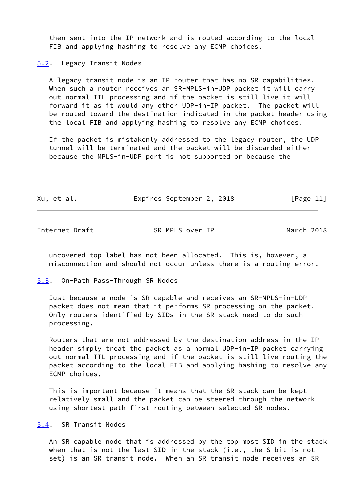then sent into the IP network and is routed according to the local FIB and applying hashing to resolve any ECMP choices.

<span id="page-12-0"></span>[5.2](#page-12-0). Legacy Transit Nodes

 A legacy transit node is an IP router that has no SR capabilities. When such a router receives an SR-MPLS-in-UDP packet it will carry out normal TTL processing and if the packet is still live it will forward it as it would any other UDP-in-IP packet. The packet will be routed toward the destination indicated in the packet header using the local FIB and applying hashing to resolve any ECMP choices.

 If the packet is mistakenly addressed to the legacy router, the UDP tunnel will be terminated and the packet will be discarded either because the MPLS-in-UDP port is not supported or because the

| Xu, et al. | Expires September 2, 2018 |  | [Page 11] |  |
|------------|---------------------------|--|-----------|--|
|            |                           |  |           |  |

<span id="page-12-2"></span>Internet-Draft SR-MPLS over IP March 2018

 uncovered top label has not been allocated. This is, however, a misconnection and should not occur unless there is a routing error.

<span id="page-12-1"></span>[5.3](#page-12-1). On-Path Pass-Through SR Nodes

 Just because a node is SR capable and receives an SR-MPLS-in-UDP packet does not mean that it performs SR processing on the packet. Only routers identified by SIDs in the SR stack need to do such processing.

 Routers that are not addressed by the destination address in the IP header simply treat the packet as a normal UDP-in-IP packet carrying out normal TTL processing and if the packet is still live routing the packet according to the local FIB and applying hashing to resolve any ECMP choices.

 This is important because it means that the SR stack can be kept relatively small and the packet can be steered through the network using shortest path first routing between selected SR nodes.

<span id="page-12-3"></span>[5.4](#page-12-3). SR Transit Nodes

 An SR capable node that is addressed by the top most SID in the stack when that is not the last SID in the stack (i.e., the S bit is not set) is an SR transit node. When an SR transit node receives an SR-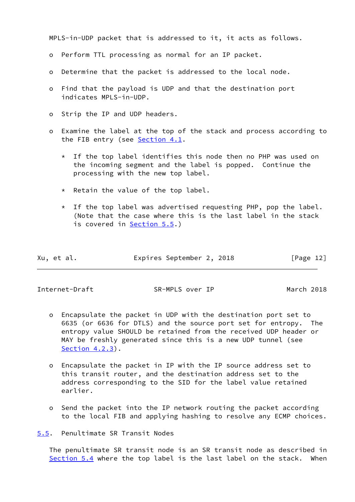MPLS-in-UDP packet that is addressed to it, it acts as follows.

- o Perform TTL processing as normal for an IP packet.
- o Determine that the packet is addressed to the local node.
- o Find that the payload is UDP and that the destination port indicates MPLS-in-UDP.
- o Strip the IP and UDP headers.
- o Examine the label at the top of the stack and process according to the FIB entry (see [Section 4.1](#page-5-0).
	- \* If the top label identifies this node then no PHP was used on the incoming segment and the label is popped. Continue the processing with the new top label.
	- \* Retain the value of the top label.
	- $*$  If the top label was advertised requesting PHP, pop the label. (Note that the case where this is the last label in the stack is covered in [Section 5.5.](#page-13-0))

| Xu, et al. | Expires September 2, 2018 |  | [Page 12] |
|------------|---------------------------|--|-----------|
|            |                           |  |           |

<span id="page-13-1"></span>Internet-Draft SR-MPLS over IP March 2018

- o Encapsulate the packet in UDP with the destination port set to 6635 (or 6636 for DTLS) and the source port set for entropy. The entropy value SHOULD be retained from the received UDP header or MAY be freshly generated since this is a new UDP tunnel (see [Section 4.2.3\)](#page-9-0).
- o Encapsulate the packet in IP with the IP source address set to this transit router, and the destination address set to the address corresponding to the SID for the label value retained earlier.
- o Send the packet into the IP network routing the packet according to the local FIB and applying hashing to resolve any ECMP choices.

<span id="page-13-0"></span>[5.5](#page-13-0). Penultimate SR Transit Nodes

 The penultimate SR transit node is an SR transit node as described in [Section 5.4](#page-12-3) where the top label is the last label on the stack. When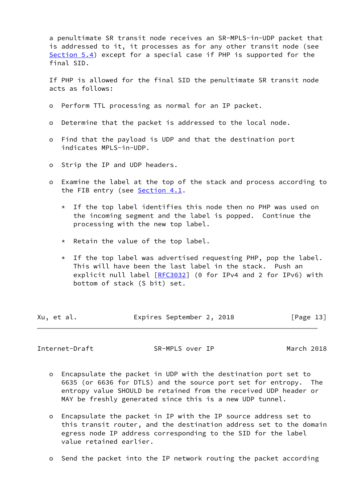a penultimate SR transit node receives an SR-MPLS-in-UDP packet that is addressed to it, it processes as for any other transit node (see [Section 5.4](#page-12-3)) except for a special case if PHP is supported for the final SID.

 If PHP is allowed for the final SID the penultimate SR transit node acts as follows:

- o Perform TTL processing as normal for an IP packet.
- o Determine that the packet is addressed to the local node.
- o Find that the payload is UDP and that the destination port indicates MPLS-in-UDP.
- o Strip the IP and UDP headers.
- o Examine the label at the top of the stack and process according to the FIB entry (see [Section 4.1](#page-5-0).
	- $*$  If the top label identifies this node then no PHP was used on the incoming segment and the label is popped. Continue the processing with the new top label.
	- \* Retain the value of the top label.
	- $*$  If the top label was advertised requesting PHP, pop the label. This will have been the last label in the stack. Push an explicit null label [[RFC3032](https://datatracker.ietf.org/doc/pdf/rfc3032)] (0 for IPv4 and 2 for IPv6) with bottom of stack (S bit) set.

| Xu, et al. | Expires September 2, 2018 |  | [Page 13] |
|------------|---------------------------|--|-----------|
|            |                           |  |           |

<span id="page-14-0"></span>Internet-Draft SR-MPLS over IP March 2018

- o Encapsulate the packet in UDP with the destination port set to 6635 (or 6636 for DTLS) and the source port set for entropy. The entropy value SHOULD be retained from the received UDP header or MAY be freshly generated since this is a new UDP tunnel.
- o Encapsulate the packet in IP with the IP source address set to this transit router, and the destination address set to the domain egress node IP address corresponding to the SID for the label value retained earlier.
- o Send the packet into the IP network routing the packet according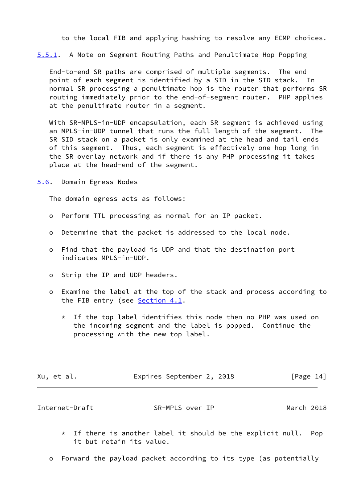to the local FIB and applying hashing to resolve any ECMP choices.

<span id="page-15-2"></span>[5.5.1](#page-15-2). A Note on Segment Routing Paths and Penultimate Hop Popping

 End-to-end SR paths are comprised of multiple segments. The end point of each segment is identified by a SID in the SID stack. In normal SR processing a penultimate hop is the router that performs SR routing immediately prior to the end-of-segment router. PHP applies at the penultimate router in a segment.

 With SR-MPLS-in-UDP encapsulation, each SR segment is achieved using an MPLS-in-UDP tunnel that runs the full length of the segment. The SR SID stack on a packet is only examined at the head and tail ends of this segment. Thus, each segment is effectively one hop long in the SR overlay network and if there is any PHP processing it takes place at the head-end of the segment.

<span id="page-15-0"></span>[5.6](#page-15-0). Domain Egress Nodes

The domain egress acts as follows:

- o Perform TTL processing as normal for an IP packet.
- o Determine that the packet is addressed to the local node.
- o Find that the payload is UDP and that the destination port indicates MPLS-in-UDP.
- o Strip the IP and UDP headers.
- o Examine the label at the top of the stack and process according to the FIB entry (see [Section 4.1](#page-5-0).
	- \* If the top label identifies this node then no PHP was used on the incoming segment and the label is popped. Continue the processing with the new top label.

| Xu, et al. | Expires September 2, 2018 |  | [Page 14] |  |
|------------|---------------------------|--|-----------|--|
|            |                           |  |           |  |

<span id="page-15-1"></span>Internet-Draft SR-MPLS over IP March 2018

- $*$  If there is another label it should be the explicit null. Pop it but retain its value.
- o Forward the payload packet according to its type (as potentially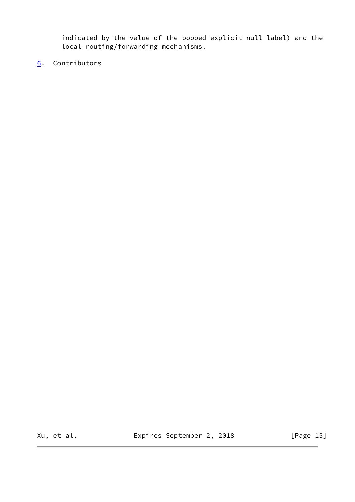indicated by the value of the popped explicit null label) and the local routing/forwarding mechanisms.

<span id="page-16-0"></span>[6](#page-16-0). Contributors

Xu, et al. Expires September 2, 2018 [Page 15]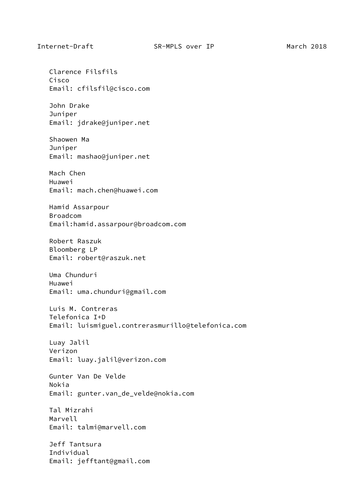Clarence Filsfils Cisco Email: cfilsfil@cisco.com John Drake Juniper Email: jdrake@juniper.net Shaowen Ma Juniper Email: mashao@juniper.net Mach Chen Huawei Email: mach.chen@huawei.com Hamid Assarpour Broadcom Email:hamid.assarpour@broadcom.com Robert Raszuk Bloomberg LP Email: robert@raszuk.net Uma Chunduri Huawei Email: uma.chunduri@gmail.com Luis M. Contreras Telefonica I+D Email: luismiguel.contrerasmurillo@telefonica.com Luay Jalil Verizon Email: luay.jalil@verizon.com Gunter Van De Velde Nokia Email: gunter.van\_de\_velde@nokia.com Tal Mizrahi Marvell Email: talmi@marvell.com Jeff Tantsura Individual Email: jefftant@gmail.com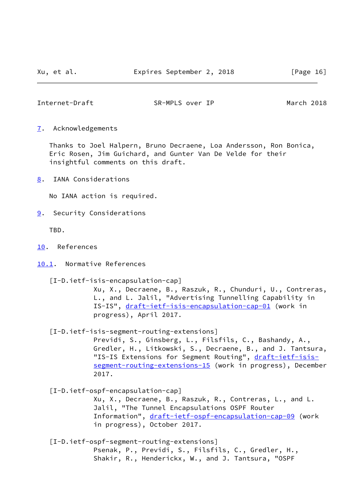<span id="page-18-1"></span>Internet-Draft SR-MPLS over IP March 2018

<span id="page-18-0"></span>[7](#page-18-0). Acknowledgements

 Thanks to Joel Halpern, Bruno Decraene, Loa Andersson, Ron Bonica, Eric Rosen, Jim Guichard, and Gunter Van De Velde for their insightful comments on this draft.

<span id="page-18-2"></span>[8](#page-18-2). IANA Considerations

No IANA action is required.

<span id="page-18-3"></span>[9](#page-18-3). Security Considerations

TBD.

- <span id="page-18-4"></span>[10.](#page-18-4) References
- <span id="page-18-5"></span>[10.1](#page-18-5). Normative References

<span id="page-18-8"></span>[I-D.ietf-isis-encapsulation-cap]

 Xu, X., Decraene, B., Raszuk, R., Chunduri, U., Contreras, L., and L. Jalil, "Advertising Tunnelling Capability in IS-IS", [draft-ietf-isis-encapsulation-cap-01](https://datatracker.ietf.org/doc/pdf/draft-ietf-isis-encapsulation-cap-01) (work in progress), April 2017.

<span id="page-18-7"></span>[I-D.ietf-isis-segment-routing-extensions]

 Previdi, S., Ginsberg, L., Filsfils, C., Bashandy, A., Gredler, H., Litkowski, S., Decraene, B., and J. Tantsura, "IS-IS Extensions for Segment Routing", [draft-ietf-isis](https://datatracker.ietf.org/doc/pdf/draft-ietf-isis-segment-routing-extensions-15) [segment-routing-extensions-15](https://datatracker.ietf.org/doc/pdf/draft-ietf-isis-segment-routing-extensions-15) (work in progress), December 2017.

<span id="page-18-9"></span>[I-D.ietf-ospf-encapsulation-cap]

 Xu, X., Decraene, B., Raszuk, R., Contreras, L., and L. Jalil, "The Tunnel Encapsulations OSPF Router Information", [draft-ietf-ospf-encapsulation-cap-09](https://datatracker.ietf.org/doc/pdf/draft-ietf-ospf-encapsulation-cap-09) (work in progress), October 2017.

<span id="page-18-6"></span>[I-D.ietf-ospf-segment-routing-extensions]

 Psenak, P., Previdi, S., Filsfils, C., Gredler, H., Shakir, R., Henderickx, W., and J. Tantsura, "OSPF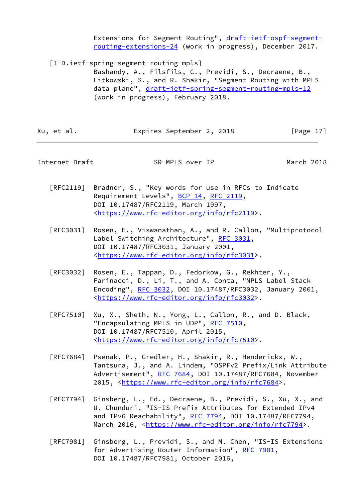Extensions for Segment Routing", [draft-ietf-ospf-segment](https://datatracker.ietf.org/doc/pdf/draft-ietf-ospf-segment-routing-extensions-24) [routing-extensions-24](https://datatracker.ietf.org/doc/pdf/draft-ietf-ospf-segment-routing-extensions-24) (work in progress), December 2017.

<span id="page-19-1"></span>[I-D.ietf-spring-segment-routing-mpls]

 Bashandy, A., Filsfils, C., Previdi, S., Decraene, B., Litkowski, S., and R. Shakir, "Segment Routing with MPLS data plane", [draft-ietf-spring-segment-routing-mpls-12](https://datatracker.ietf.org/doc/pdf/draft-ietf-spring-segment-routing-mpls-12) (work in progress), February 2018.

Xu, et al. Expires September 2, 2018 [Page 17]

#### <span id="page-19-0"></span>Internet-Draft SR-MPLS over IP March 2018

- [RFC2119] Bradner, S., "Key words for use in RFCs to Indicate Requirement Levels", [BCP 14](https://datatracker.ietf.org/doc/pdf/bcp14), [RFC 2119](https://datatracker.ietf.org/doc/pdf/rfc2119), DOI 10.17487/RFC2119, March 1997, <[https://www.rfc-editor.org/info/rfc2119>](https://www.rfc-editor.org/info/rfc2119).
- [RFC3031] Rosen, E., Viswanathan, A., and R. Callon, "Multiprotocol Label Switching Architecture", [RFC 3031](https://datatracker.ietf.org/doc/pdf/rfc3031), DOI 10.17487/RFC3031, January 2001, <[https://www.rfc-editor.org/info/rfc3031>](https://www.rfc-editor.org/info/rfc3031).
- [RFC3032] Rosen, E., Tappan, D., Fedorkow, G., Rekhter, Y., Farinacci, D., Li, T., and A. Conta, "MPLS Label Stack Encoding", [RFC 3032](https://datatracker.ietf.org/doc/pdf/rfc3032), DOI 10.17487/RFC3032, January 2001, <[https://www.rfc-editor.org/info/rfc3032>](https://www.rfc-editor.org/info/rfc3032).
- [RFC7510] Xu, X., Sheth, N., Yong, L., Callon, R., and D. Black, "Encapsulating MPLS in UDP", [RFC 7510](https://datatracker.ietf.org/doc/pdf/rfc7510), DOI 10.17487/RFC7510, April 2015, <[https://www.rfc-editor.org/info/rfc7510>](https://www.rfc-editor.org/info/rfc7510).
- [RFC7684] Psenak, P., Gredler, H., Shakir, R., Henderickx, W., Tantsura, J., and A. Lindem, "OSPFv2 Prefix/Link Attribute Advertisement", [RFC 7684,](https://datatracker.ietf.org/doc/pdf/rfc7684) DOI 10.17487/RFC7684, November 2015, [<https://www.rfc-editor.org/info/rfc7684](https://www.rfc-editor.org/info/rfc7684)>.
- [RFC7794] Ginsberg, L., Ed., Decraene, B., Previdi, S., Xu, X., and U. Chunduri, "IS-IS Prefix Attributes for Extended IPv4 and IPv6 Reachability", [RFC 7794,](https://datatracker.ietf.org/doc/pdf/rfc7794) DOI 10.17487/RFC7794, March 2016, [<https://www.rfc-editor.org/info/rfc7794](https://www.rfc-editor.org/info/rfc7794)>.
- [RFC7981] Ginsberg, L., Previdi, S., and M. Chen, "IS-IS Extensions for Advertising Router Information", [RFC 7981](https://datatracker.ietf.org/doc/pdf/rfc7981), DOI 10.17487/RFC7981, October 2016,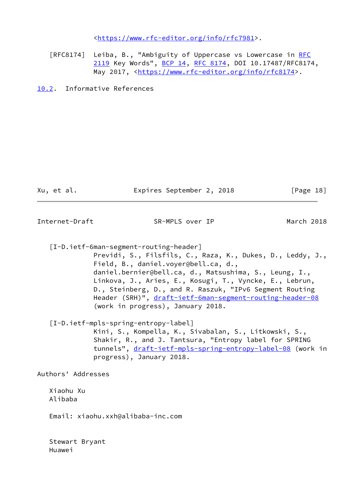<[https://www.rfc-editor.org/info/rfc7981>](https://www.rfc-editor.org/info/rfc7981).

 [RFC8174] Leiba, B., "Ambiguity of Uppercase vs Lowercase in [RFC](https://datatracker.ietf.org/doc/pdf/rfc2119) [2119](https://datatracker.ietf.org/doc/pdf/rfc2119) Key Words", [BCP 14](https://datatracker.ietf.org/doc/pdf/bcp14), [RFC 8174,](https://datatracker.ietf.org/doc/pdf/rfc8174) DOI 10.17487/RFC8174, May 2017, [<https://www.rfc-editor.org/info/rfc8174](https://www.rfc-editor.org/info/rfc8174)>.

<span id="page-20-0"></span>[10.2](#page-20-0). Informative References

Xu, et al. Expires September 2, 2018 [Page 18]

<span id="page-20-1"></span>Internet-Draft SR-MPLS over IP March 2018

<span id="page-20-3"></span><span id="page-20-2"></span> [I-D.ietf-6man-segment-routing-header] Previdi, S., Filsfils, C., Raza, K., Dukes, D., Leddy, J., Field, B., daniel.voyer@bell.ca, d., daniel.bernier@bell.ca, d., Matsushima, S., Leung, I., Linkova, J., Aries, E., Kosugi, T., Vyncke, E., Lebrun, D., Steinberg, D., and R. Raszuk, "IPv6 Segment Routing Header (SRH)", [draft-ietf-6man-segment-routing-header-08](https://datatracker.ietf.org/doc/pdf/draft-ietf-6man-segment-routing-header-08) (work in progress), January 2018. [I-D.ietf-mpls-spring-entropy-label] Kini, S., Kompella, K., Sivabalan, S., Litkowski, S., Shakir, R., and J. Tantsura, "Entropy label for SPRING tunnels", [draft-ietf-mpls-spring-entropy-label-08](https://datatracker.ietf.org/doc/pdf/draft-ietf-mpls-spring-entropy-label-08) (work in progress), January 2018. Authors' Addresses Xiaohu Xu Alibaba

Email: xiaohu.xxh@alibaba-inc.com

 Stewart Bryant Huawei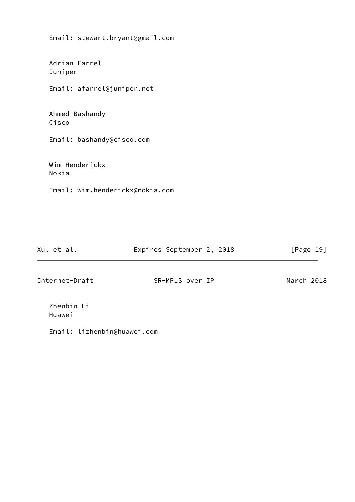Email: stewart.bryant@gmail.com Adrian Farrel Juniper Email: afarrel@juniper.net Ahmed Bashandy Cisco Email: bashandy@cisco.com Wim Henderickx Nokia Email: wim.henderickx@nokia.com

Xu, et al. Expires September 2, 2018 [Page 19]

Internet-Draft SR-MPLS over IP March 2018

 Zhenbin Li Huawei

Email: lizhenbin@huawei.com